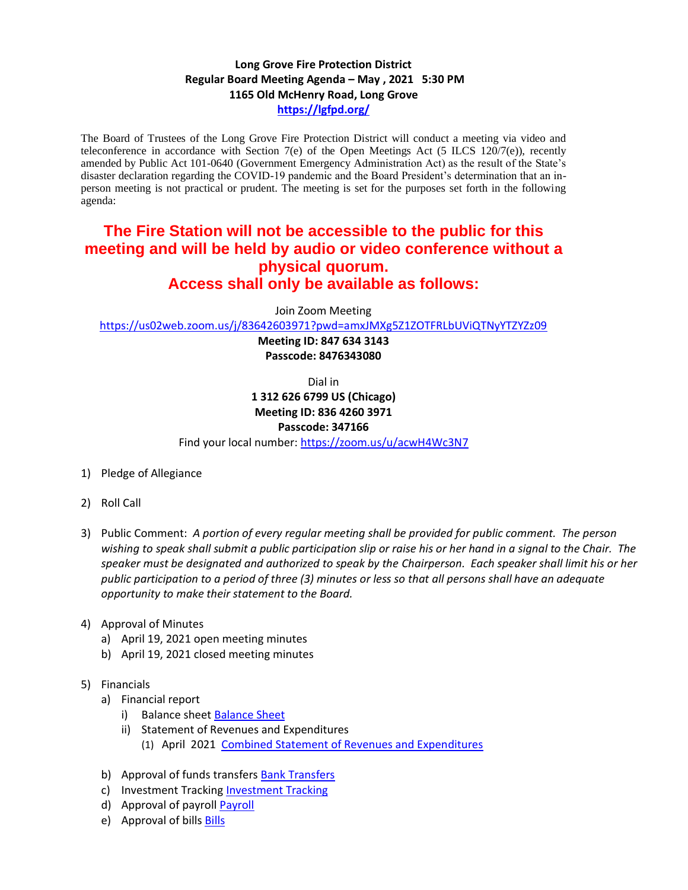## **Long Grove Fire Protection District Regular Board Meeting Agenda – May , 2021 5:30 PM 1165 Old McHenry Road, Long Grove <https://lgfpd.org/>**

The Board of Trustees of the Long Grove Fire Protection District will conduct a meeting via video and teleconference in accordance with Section 7(e) of the Open Meetings Act (5 ILCS 120/7(e)), recently amended by Public Act 101-0640 (Government Emergency Administration Act) as the result of the State's disaster declaration regarding the COVID-19 pandemic and the Board President's determination that an inperson meeting is not practical or prudent. The meeting is set for the purposes set forth in the following agenda:

# **The Fire Station will not be accessible to the public for this meeting and will be held by audio or video conference without a physical quorum. Access shall only be available as follows:**

Join Zoom Meeting

<https://us02web.zoom.us/j/83642603971?pwd=amxJMXg5Z1ZOTFRLbUViQTNyYTZYZz09>

**Meeting ID: 847 634 3143 Passcode: 8476343080**

Dial in

**1 312 626 6799 US (Chicago) Meeting ID: 836 4260 3971**

# **Passcode: 347166**

Find your local number[: https://zoom.us/u/acwH4Wc3N7](https://zoom.us/u/acwH4Wc3N7)

- 1) Pledge of Allegiance
- 2) Roll Call
- 3) Public Comment: *A portion of every regular meeting shall be provided for public comment. The person wishing to speak shall submit a public participation slip or raise his or her hand in a signal to the Chair. The speaker must be designated and authorized to speak by the Chairperson. Each speaker shall limit his or her public participation to a period of three (3) minutes or less so that all persons shall have an adequate opportunity to make their statement to the Board.*

#### 4) Approval of Minutes

- a) April 19, 2021 open meeting minutes
- b) April 19, 2021 closed meeting minutes
- 5) Financials
	- a) Financial report
		- i) Balance sheet [Balance Sheet](https://itgophers.sharepoint.com/:b:/s/SharedDocs/Ee-1NaGXJCVPm5KrC67dPz8Byt2xLTygBFWg-9jarzIfOg?e=luQKR4)
		- ii) Statement of Revenues and Expenditures
			- (1) April 2021 [Combined Statement of Revenues and Expenditures](https://itgophers.sharepoint.com/:b:/s/SharedDocs/EbekY0jkkF1OrnBN5FarFV8B2dfzMNiqJnyriacV0hJtvg?e=vQ7enM)
	- b) Approval of funds transfers [Bank Transfers](https://itgophers.sharepoint.com/:b:/s/SharedDocs/EaulZHx2loVGjOwnjVkE_x8B-8EfMVaNkwoopA-JW9rGng?e=ZHis3B)
	- c) [Investment Tracking](https://itgophers.sharepoint.com/:b:/s/SharedDocs/EUiVvdxScR1Hmlgkj2HLSVoBk4U6idFMopzy2G3mdohjCA?e=twoI0u) Investment Tracking
	- d) Approval of payrol[l Payroll](https://itgophers.sharepoint.com/:b:/s/SharedDocs/EYu-tG7shH1DqZdOZUHzETsBkBIAfb89EJlAM5-epfru0A?e=C7KARh)
	- e) Approval of bills **Bills**